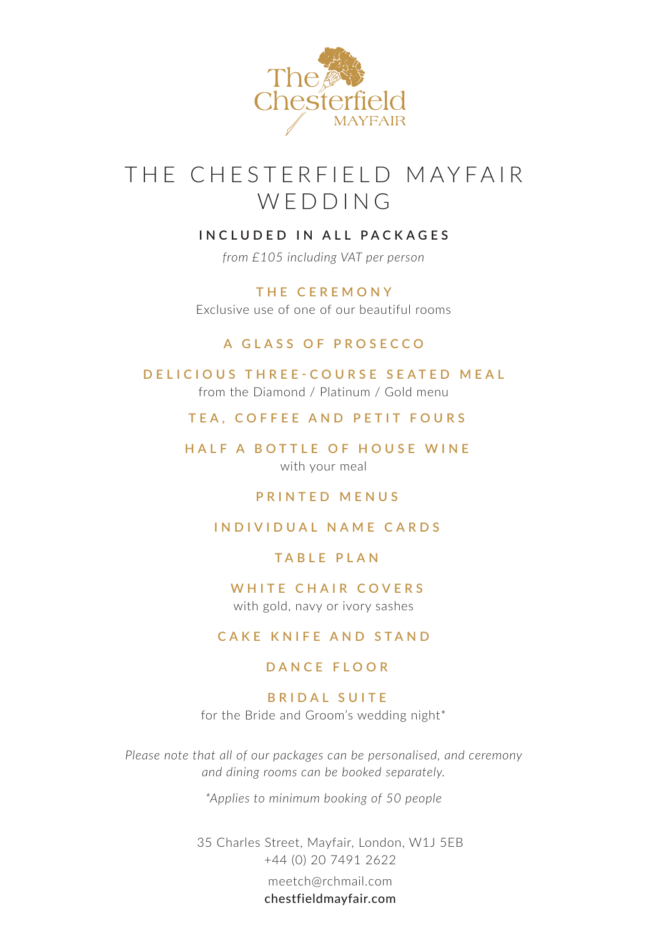

# THE CHESTERFIELD MAYFAIR WEDDING

### **INCLUDED IN ALL PACKAGES**

*from £105 including VAT per person*

**THE CEREMONY** Exclusive use of one of our beautiful rooms

#### **A GLASS OF PROSECCO**

**DELICIOUS THREE-COURSE SEATED MEAL** from the Diamond / Platinum / Gold menu

**TEA, COFFEE AND PETIT FOURS**

**HALF A BOTTLE OF HOUSE WINE** with your meal

#### **PRINTED MENUS**

### **INDIVIDUAL NAME CARDS**

#### **TABLE PLAN**

**WHITE CHAIR COVERS** with gold, navy or ivory sashes

#### **CAKE KNIFE AND STAND**

### **DANCE FLOOR**

# **B R I D A L S U I T E**

for the Bride and Groom's wedding night\*

*Please note that all of our packages can be personalised, and ceremony and dining rooms can be booked separately.*

*\*Applies to minimum booking of 50 people*

35 Charles Street, Mayfair, London, W1J 5EB +44 (0) 20 7491 2622

> meetch@rchmail.com chestfieldmayfair.com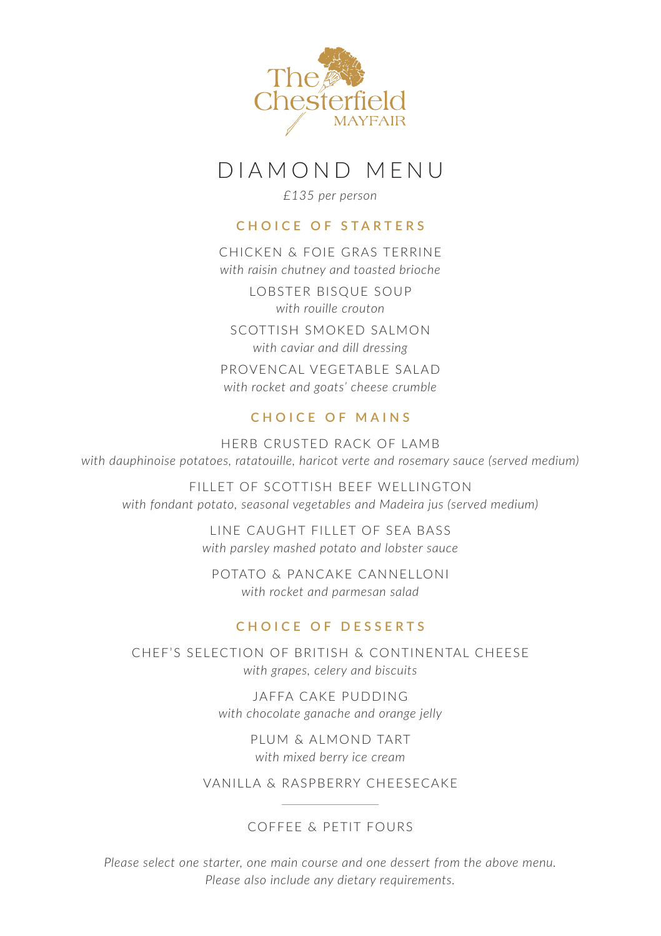

# DIAMOND MENU

*£135 per person*

# **CHOICE OF STARTERS**

CHICKEN & FOIE GRAS TERRINE *with raisin chutney and toasted brioche* LOBSTER BISQUE SOUP *with rouille crouton* SCOTTISH SMOKED SALMON *with caviar and dill dressing* PROVENCAL VEGETABLE SALAD *with rocket and goats' cheese crumble*

# **CHOICE OF MAINS**

HERB CRUSTED RACK OF LAMB *with dauphinoise potatoes, ratatouille, haricot verte and rosemary sauce (served medium)*

FILLET OF SCOTTISH BEEF WELLINGTON *with fondant potato, seasonal vegetables and Madeira jus (served medium)*

> LINE CAUGHT FILLET OF SEA BASS *with parsley mashed potato and lobster sauce*

POTATO & PANCAKE CANNELLONI *with rocket and parmesan salad*

# **CHOICE OF DESSERTS**

CHEF'S SELECTION OF BRITISH & CONTINENTAL CHEESE *with grapes, celery and biscuits*

> JAFFA CAKE PUDDING *with chocolate ganache and orange jelly*

> > PLUM & ALMOND TART *with mixed berry ice cream*

VANILLA & RASPBERRY CHEESECAKE

# COFFEE & PETIT FOURS

*Please select one starter, one main course and one dessert from the above menu. Please also include any dietary requirements.*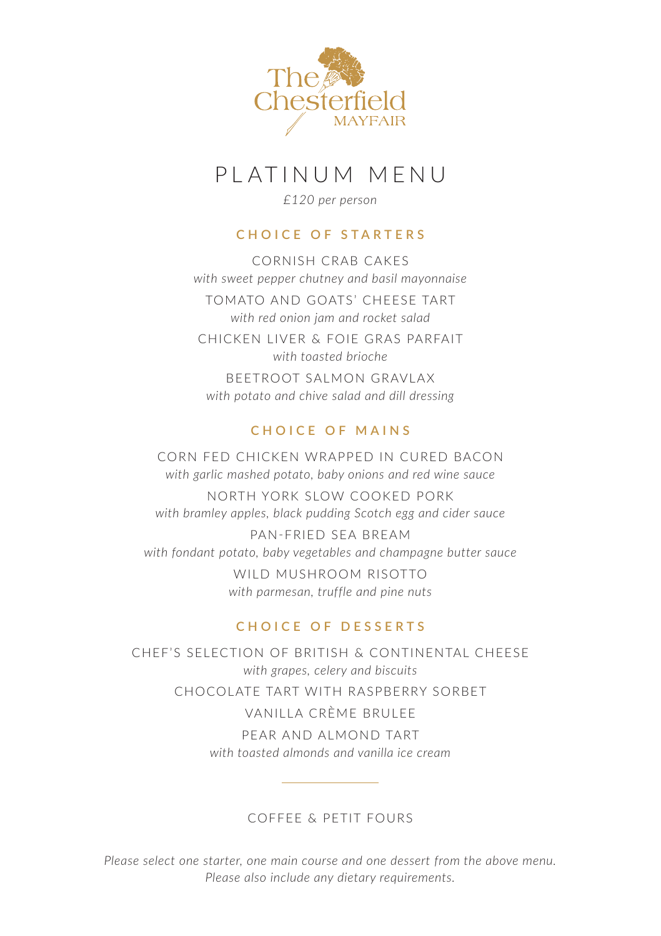

# PLATINUM MENU

*£120 per person*

# **CHOICE OF STARTERS**

CORNISH CRAB CAKES *with sweet pepper chutney and basil mayonnaise*

TOMATO AND GOATS' CHEESE TART *with red onion jam and rocket salad*

CHICKEN LIVER & FOIE GRAS PARFAIT *with toasted brioche*

BEETROOT SALMON GRAVLAX *with potato and chive salad and dill dressing*

# **CHOICE OF MAINS**

CORN FED CHICKEN WRAPPED IN CURED BACON *with garlic mashed potato, baby onions and red wine sauce*

NORTH YORK SLOW COOKED PORK *with bramley apples, black pudding Scotch egg and cider sauce*

PAN-FRIED SEA BREAM *with fondant potato, baby vegetables and champagne butter sauce*

> WILD MUSHROOM RISOTTO *with parmesan, truffle and pine nuts*

# **CHOICE OF DESSERTS**

CHEF'S SELECTION OF BRITISH & CONTINENTAL CHEESE *with grapes, celery and biscuits*

CHOCOLATE TART WITH RASPBERRY SORBET

VANILLA CRÈME BRULEE

PEAR AND ALMOND TART *with toasted almonds and vanilla ice cream*

#### COFFEE & PETIT FOURS

*Please select one starter, one main course and one dessert from the above menu. Please also include any dietary requirements.*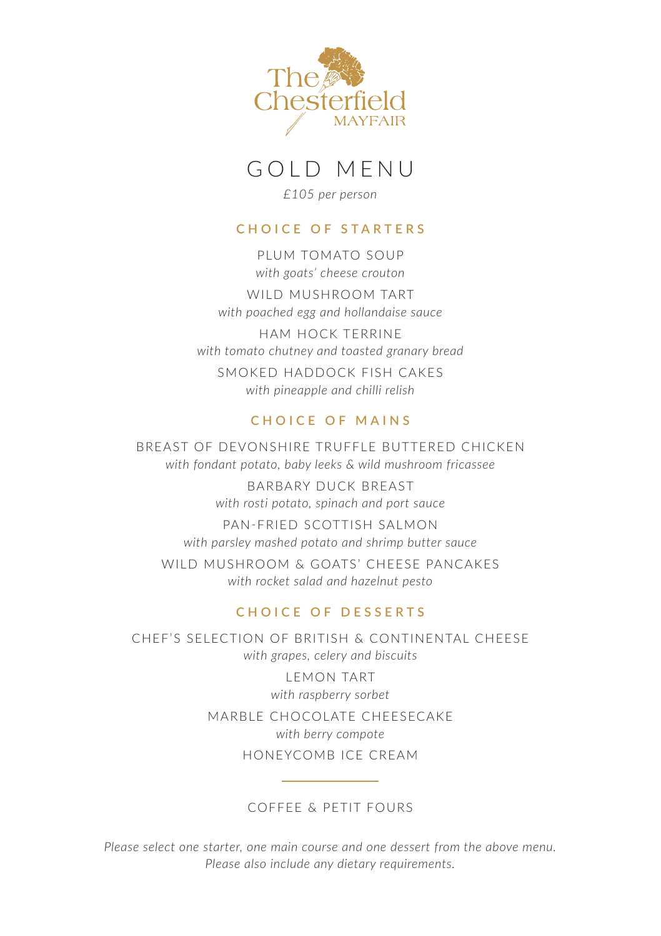

# GOLD MENU

*£105 per person*

#### **CHOICE OF STARTERS**

PLUM TOMATO SOUP *with goats' cheese crouton*

WILD MUSHROOM TART *with poached egg and hollandaise sauce*

HAM HOCK TERRINE *with tomato chutney and toasted granary bread* SMOKED HADDOCK FISH CAKES *with pineapple and chilli relish*

#### **CHOICE OF MAINS**

BREAST OF DEVONSHIRE TRUFFLE BUTTERED CHICKEN *with fondant potato, baby leeks & wild mushroom fricassee* BARBARY DUCK BREAST *with rosti potato, spinach and port sauce* PAN-FRIED SCOTTISH SALMON *with parsley mashed potato and shrimp butter sauce* WILD MUSHROOM & GOATS' CHEESE PANCAKES *with rocket salad and hazelnut pesto*

#### **CHOICE OF DESSERTS**

CHEF'S SELECTION OF BRITISH & CONTINENTAL CHEESE *with grapes, celery and biscuits*

LEMON TART *with raspberry sorbet*

MARBLE CHOCOLATE CHEESECAKE *with berry compote*

# HONEYCOMB ICE CREAM

#### COFFEE & PETIT FOURS

*Please select one starter, one main course and one dessert from the above menu. Please also include any dietary requirements.*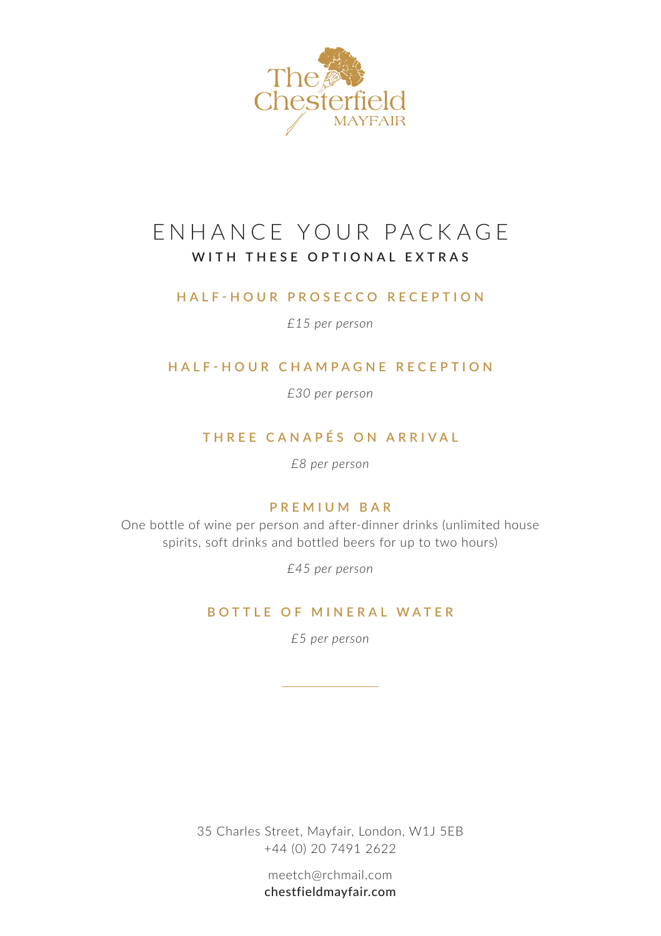

# ENHANCE YOUR PACKAGE **WITH THESE OPTIONAL EXTRAS**

#### **HALF-HOUR PROSECCO RECEPTION**

*£15 per person*

#### **HALF-HOUR CHAMPAGNE RECEPTION**

*£30 per person*

# **THREE CANAPÉS ON ARRIVAL**

*£8 per person*

### **PREMIUM BAR**

One bottle of wine per person and after-dinner drinks (unlimited house spirits, soft drinks and bottled beers for up to two hours)

*£45 per person*

#### **BOTTLE OF MINERAL WATER**

*£5 per person*

35 Charles Street, Mayfair, London, W1J 5EB +44 (0) 20 7491 2622

> meetch@rchmail.com chestfieldmayfair.com